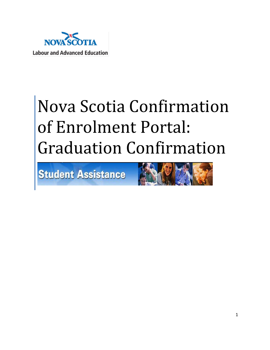

# Nova Scotia Confirmation of Enrolment Portal: Graduation Confirmation

**Student Assistance** 

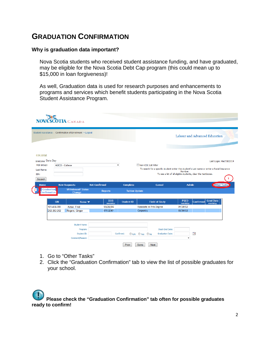# **GRADUATION CONFIRMATION**

# **Why is graduation data important?**

Nova Scotia students who received student assistance funding, and have graduated, may be eligible for the Nova Scotia Debt Cap program (this could mean up to \$15,000 in loan forgiveness)!

As well, Graduation data is used for research purposes and enhancements to programs and services which benefit students participating in the Nova Scotia Student Assistance Program.

| <b>NOVA SCOTIA</b> CANADA                                |                                     |                        |                       |                                                                                            |                         |                                                              |                         |
|----------------------------------------------------------|-------------------------------------|------------------------|-----------------------|--------------------------------------------------------------------------------------------|-------------------------|--------------------------------------------------------------|-------------------------|
| Student Assistance > Confirmation of Enrollment > Logout |                                     |                        |                       |                                                                                            |                         | Labour and Advanced Education                                |                         |
|                                                          |                                     |                        |                       |                                                                                            |                         |                                                              |                         |
| <b>COLLEGE</b>                                           |                                     |                        |                       |                                                                                            |                         |                                                              |                         |
| Welcome Doris Day                                        |                                     |                        |                       |                                                                                            |                         |                                                              | Last Login: Mar/19/2014 |
| Pick Group:                                              | <b>ABCD - College</b>               |                        | $\blacktriangledown$  | Non-COF List Filter                                                                        |                         |                                                              |                         |
| Last Name:                                               |                                     |                        |                       | To search for a specific student enter the student's Last name or enter a Social Insurance | Number.                 |                                                              |                         |
| SIN:                                                     |                                     |                        |                       |                                                                                            |                         | To see a list of all eligible students, clear the textboxes. |                         |
| Search                                                   |                                     |                        |                       |                                                                                            |                         |                                                              |                         |
| <b>Home</b>                                              | <b>New Requests</b>                 | <b>Not Confirmed</b>   | <b>Complete</b>       | Cancel                                                                                     |                         | <b>Admin</b>                                                 | <b>Other Tasks</b>      |
| Graduation<br><b>Confirmation</b>                        | <b>Withdrawal/ Status</b><br>Change | <b>Reports</b>         | <b>Tuition Update</b> |                                                                                            |                         |                                                              |                         |
| <b>SIN</b>                                               | Name $\blacktriangledown$           | <b>DOB</b><br>mm/dd/yy | <b>Student ID</b>     | <b>Field of Study</b>                                                                      | <b>PSED</b><br>mm/dd/yy | <b>Grad Date</b><br>Confirmed<br>mm/dd/yy                    |                         |
| 123-456-789                                              | Astair, Fred                        | 05/26/06               |                       | Associate in Arts Degree                                                                   | 04/30/12                |                                                              |                         |
| 252-252-252                                              | Rogers, Ginger                      | 07/12/87               |                       | Carpentry                                                                                  | 03/30/12                |                                                              |                         |
|                                                          | <b>Student Name:</b>                |                        |                       |                                                                                            |                         |                                                              |                         |
|                                                          | Program:                            |                        |                       | Study End Date:                                                                            |                         |                                                              |                         |
|                                                          | Student ID:                         |                        | Confirmed:            | ON/A OYes ONo<br><b>Graduation Date:</b>                                                   |                         | <b>Ta</b>                                                    |                         |
|                                                          | Comment/Reason:                     |                        |                       |                                                                                            | ٠                       |                                                              |                         |
|                                                          |                                     |                        |                       |                                                                                            |                         |                                                              |                         |
|                                                          |                                     |                        | Prev                  | Save<br>Next                                                                               |                         |                                                              |                         |

- 1. Go to "Other Tasks"
- 2. Click the "Graduation Confirmation" tab to view the list of possible graduates for your school.

**Please check the "Graduation Confirmation" tab often for possible graduates ready to confirm!**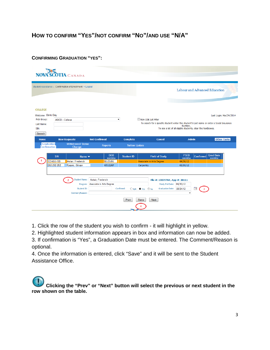# **HOW TO CONFIRM "YES"/NOT CONFIRM "NO"/AND USE "N/A"**

#### **CONFIRMING GRADUATION "YES":**

|                                                                                      | <b>SCOTIA</b> CANADA                                                                                         |                                                |                       |                                                                                                                   |                                                                         |           |                               |
|--------------------------------------------------------------------------------------|--------------------------------------------------------------------------------------------------------------|------------------------------------------------|-----------------------|-------------------------------------------------------------------------------------------------------------------|-------------------------------------------------------------------------|-----------|-------------------------------|
|                                                                                      | Student Assistance > Confirmation of Enrollment > Logout                                                     |                                                |                       |                                                                                                                   |                                                                         |           | Labour and Advanced Education |
| <b>COLLEGE</b><br>Welcome : Doris Day<br>Pick Group:<br>Last Name:<br>SIN:<br>Search | <b>ABCD - College</b>                                                                                        | $\bullet$                                      |                       | Non-COE List Filter<br>To search for a specific student enter the student's Last name or enter a Social Insurance | Number.<br>To see a list of all eligible students, clear the textboxes. |           | Last Login: Mar/24/2014       |
| <b>Home</b>                                                                          | <b>New Requests</b>                                                                                          | <b>Not Confirmed</b>                           | <b>Complete</b>       | <b>Cancel</b>                                                                                                     | <b>Admin</b>                                                            |           | <b>Other Tasks</b>            |
| <b>Graduation</b><br>Confirmation                                                    | <b>Withdrawal/ Status</b><br>Change                                                                          | <b>Reports</b>                                 | <b>Tuition Update</b> |                                                                                                                   |                                                                         |           |                               |
|                                                                                      | <b>SIN</b><br>Name $\blacktriangledown$<br>123-456-789<br>Astair, Frederick<br>252-252-252<br>Rogers, Ginger | <b>DOB</b><br>mm/dd/yy<br>05/26/06<br>07/12/87 | <b>Student ID</b>     | <b>Field of Study</b><br>Associate in Arts Degree<br>Carpentry                                                    | <b>PSED</b><br>mm/dd/yy<br>04/30/12<br>03/30/12                         | Confirmed | <b>Grad Date</b><br>mm/dd/yy  |
|                                                                                      | <b>Student Name:</b><br>Program:<br>Student ID:                                                              | Astair, Frederick<br>Associate in Arts Degree  | Confirmed:            | File #: 10035764, App #: 20111<br>$\bigcirc$ No<br>$CN/A$ $DYes$                                                  | Study End Date: 04/30/12<br>Graduation Date: 05/24/12                   | ℡         |                               |
|                                                                                      | Comment/Reason:                                                                                              |                                                | Prev                  | Next<br>Save                                                                                                      | ۰                                                                       |           |                               |

- 1. Click the row of the student you wish to confirm it will highlight in yellow.
- 2. Highlighted student information appears in box and information can now be added.

3. If confirmation is "Yes", a Graduation Date must be entered. The Comment/Reason is optional.

4. Once the information is entered, click "Save" and it will be sent to the Student Assistance Office.

**Clicking the "Prev" or "Next" button will select the previous or next student in the row shown on the table.**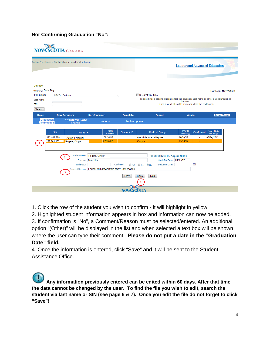# **Not Confirming Graduation "No":**

|                                                                   | <b>NOVA SCOTIA</b> CANADA                                         |                                                                                          |                       |                                                                                                                        |                         |                                                              |                         |
|-------------------------------------------------------------------|-------------------------------------------------------------------|------------------------------------------------------------------------------------------|-----------------------|------------------------------------------------------------------------------------------------------------------------|-------------------------|--------------------------------------------------------------|-------------------------|
|                                                                   | Student Assistance > Confirmation of Enrollment > Logout          |                                                                                          |                       |                                                                                                                        |                         | Labour and Advanced Education                                |                         |
| College<br>Welcome Doris Day<br>Pick Group:<br>Last Name:<br>SIN: | <b>ABCD - College</b>                                             |                                                                                          | ٠                     | Non-COE List Filter<br>To search for a specific student enter the student's Last name or enter a Social Insurance      | Number.                 | To see a list of all eligible students, clear the textboxes. | Last Login: Mar/25/2014 |
| Search<br><b>Home</b>                                             | <b>New Requests</b>                                               | <b>Not Confirmed</b>                                                                     | <b>Complete</b>       | <b>Cancel</b>                                                                                                          | <b>Admin</b>            |                                                              | <b>Other Tasks</b>      |
| <b>Graduation</b><br><b>Confirmation</b>                          | <b>Withdrawal/ Status</b><br>Change                               | <b>Reports</b>                                                                           | <b>Tuition Update</b> |                                                                                                                        |                         |                                                              |                         |
|                                                                   | <b>SIN</b><br>Name $\blacktriangledown$                           | <b>DOB</b><br>mm/dd/yy                                                                   | <b>Student ID</b>     | <b>Field of Study</b>                                                                                                  | <b>PSED</b><br>mm/dd/yy | <b>Grad Date</b><br><b>Confirmed</b><br>mm/dd/yy             |                         |
|                                                                   | 123-456-789<br>Astair. Frederick<br>252-252-252<br>Rogers, Ginger | 05/26/06<br>07/12/87                                                                     |                       | Associate in Arts Degree<br>Carpentry                                                                                  | 04/30/12<br>03/30/12    | 05/24/2012<br>Y<br>N                                         |                         |
|                                                                   | <b>Student Name:</b><br>Program:<br>Student ID:<br>3              | Rogers, Ginger<br>Carpentry<br>Comment/Reason: Formal Withdrawal from study - any reason | Confirmed:<br>Prev    | File #: 11021045, App #: 20111<br>Study End Date: 03/30/12<br>ON/A OYes ONo<br><b>Graduation Date:</b><br>Save<br>Next | ٠                       | T.                                                           |                         |
|                                                                   |                                                                   |                                                                                          | <b>NOVA SCOTIA</b>    |                                                                                                                        |                         |                                                              |                         |

1. Click the row of the student you wish to confirm - it will highlight in yellow.

2. Highlighted student information appears in box and information can now be added.

3. If confirmation is "No", a Comment/Reason must be selected/entered. An additional option "(Other)" will be displayed in the list and when selected a text box will be shown where the user can type their comment. **Please do not put a date in the "Graduation Date" field.**

4. Once the information is entered, click "Save" and it will be sent to the Student Assistance Office.

**Any information previously entered can be edited within 60 days. After that time, the data cannot be changed by the user. To find the file you wish to edit, search the student via last name or SIN (see page 6 & 7). Once you edit the file do not forget to click "Save"!**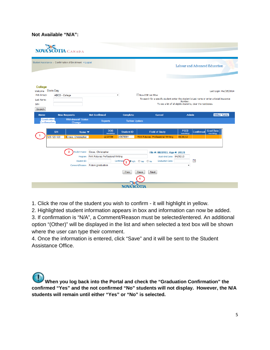### **Not Available "N/A":**

|                                                                             | NOVA SCOTIA CANADA                                                                   |                                                                                                              |                                           |                                                                                                                                                                                   |                                     |                  |                              |
|-----------------------------------------------------------------------------|--------------------------------------------------------------------------------------|--------------------------------------------------------------------------------------------------------------|-------------------------------------------|-----------------------------------------------------------------------------------------------------------------------------------------------------------------------------------|-------------------------------------|------------------|------------------------------|
|                                                                             | Student Assistance > Confirmation of Enrollment > Logout                             |                                                                                                              |                                           |                                                                                                                                                                                   | Labour and Advanced Education       |                  |                              |
| College<br>Welcome Doris Day<br>Pick Group:<br>Last Name:<br>SIN:<br>Search | ABCD - College                                                                       |                                                                                                              | $\blacktriangledown$                      | Non-COF List Filter<br>To search for a specific student enter the student's Last name or enter a Social Insurance<br>To see a list of all eligible students, clear the textboxes. | Number.                             |                  | Last Login: Mar/25/2014      |
| Home                                                                        | <b>New Requests</b>                                                                  | <b>Not Confirmed</b>                                                                                         | <b>Complete</b>                           | <b>Cancel</b>                                                                                                                                                                     | <b>Admin</b>                        |                  | <b>Other Tasks</b>           |
| <b>Graduation</b><br>.<br>Confirmation                                      | <b>Withdrawal/ Status</b><br>Change                                                  | <b>Reports</b>                                                                                               | <b>Tuition Update</b>                     |                                                                                                                                                                                   |                                     |                  |                              |
|                                                                             | <b>SIN</b><br>Name $\blacktriangledown$<br>123-123-123<br><b>ICross, Christopher</b> | <b>DOB</b><br>mm/dd/yy<br>12/27/89                                                                           | <b>Student ID</b><br>45678901             | <b>Field of Study</b><br><b>Print Futures: Professional Writing</b>                                                                                                               | <b>PSED</b><br>mm/dd/yy<br>04/30/13 | <b>Confirmed</b> | <b>Grad Date</b><br>mm/dd/yy |
|                                                                             | Program:<br>Student ID:                                                              | Student Name: Cross, Christopher<br>Print Futures: Professional Writing<br>Comment/Reason: Future graduation | <b>Confirmed</b><br>$\bullet$ N/A<br>Prev | File #: 8021933, App #: 20121<br>Study End Date: 04/30/13<br><b>Graduation Date:</b><br>O Yes O No<br>Next<br>Save                                                                | $\cdot$                             | T.               |                              |
|                                                                             |                                                                                      |                                                                                                              | <b>NOVA SCO</b>                           |                                                                                                                                                                                   |                                     |                  |                              |

1. Click the row of the student you wish to confirm - it will highlight in yellow.

2. Highlighted student information appears in box and information can now be added. 3. If confirmation is "N/A", a Comment/Reason must be selected/entered. An additional option "(Other)" will be displayed in the list and when selected a text box will be shown where the user can type their comment.

4. Once the information is entered, click "Save" and it will be sent to the Student Assistance Office.

**When you log back into the Portal and check the "Graduation Confirmation" the confirmed "Yes" and the not confirmed "No" students will not display. However, the N/A students will remain until either "Yes" or "No" is selected.**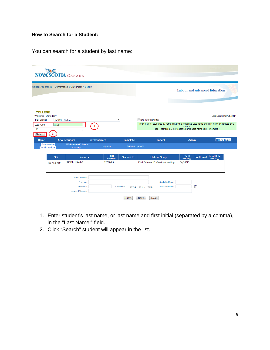# **How to Search for a Student:**

You can search for a student by last name:

| <b>NOVA SCOTIA CANADA</b>                                                   |                                                          |                        |                       |                                                                                                                                                                |                         |                  |                               |
|-----------------------------------------------------------------------------|----------------------------------------------------------|------------------------|-----------------------|----------------------------------------------------------------------------------------------------------------------------------------------------------------|-------------------------|------------------|-------------------------------|
|                                                                             | Student Assistance > Confirmation of Enrollment > Logout |                        |                       |                                                                                                                                                                |                         |                  | Labour and Advanced Education |
|                                                                             |                                                          |                        |                       |                                                                                                                                                                |                         |                  |                               |
| <b>COLLEGE</b><br>Welcome Doris Day<br>Pick Group:<br><b>ABCD - College</b> |                                                          |                        | $\blacktriangledown$  | Non-COE List Filter                                                                                                                                            |                         |                  | Last Login: Mar/25/2014       |
| Smith<br>Last Name:<br>SIN:<br>Search                                       |                                                          |                        |                       | To search for students by name enter the student's Last name and First name separated by a<br>(eg: 'Thompson, J') or enter a partial Last name (eg: 'Thompso') | comma                   |                  |                               |
| <b>Home</b>                                                                 | <b>New Requests</b>                                      | <b>Not Confirmed</b>   | <b>Complete</b>       | Cancel                                                                                                                                                         | <b>Admin</b>            |                  | <b>Other Tasks</b>            |
| <b>Graduation</b><br><b>Confirmation</b>                                    | <b>Withdrawal/ Status</b><br>Change                      | <b>Reports</b>         | <b>Tuition Update</b> |                                                                                                                                                                |                         |                  |                               |
| <b>SIN</b>                                                                  | Name $\blacktriangledown$                                | <b>DOB</b><br>mm/dd/yy | <b>Student ID</b>     | <b>Field of Study</b>                                                                                                                                          | <b>PSED</b><br>mm/dd/yy | <b>Confirmed</b> | <b>Grad Date</b><br>mm/dd/yy  |
| 123-456-789                                                                 | Smith, David A                                           | 12/27/89               |                       | Print Futures: Professional Writing                                                                                                                            | 04/30/13                |                  |                               |
|                                                                             | <b>Student Name:</b>                                     |                        |                       |                                                                                                                                                                |                         |                  |                               |
|                                                                             | Program:                                                 |                        |                       | Study End Date:                                                                                                                                                |                         |                  |                               |
|                                                                             | Student ID:<br>Comment/Reason:                           |                        | Confirmed:            | <b>Graduation Date:</b><br>ON/A OYes ONo                                                                                                                       | $\blacktriangledown$    | T.               |                               |
|                                                                             |                                                          |                        | Prev                  | Save<br>Next                                                                                                                                                   |                         |                  |                               |

- 1. Enter student's last name, or last name and first initial (separated by a comma), in the "Last Name:" field.
- 2. Click "Search" student will appear in the list.